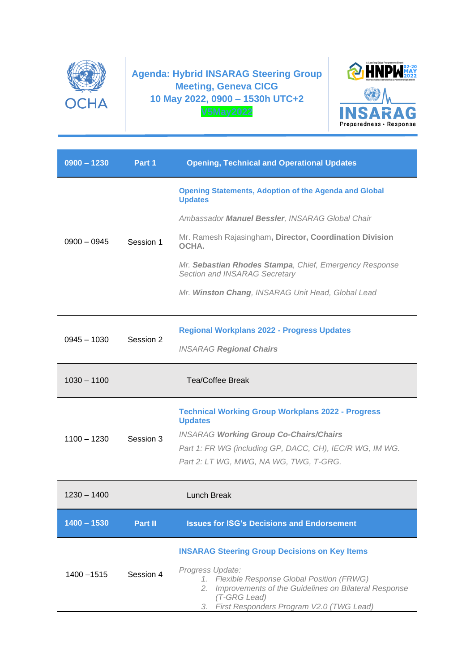

**Agenda: Hybrid INSARAG Steering Group Meeting, Geneva CICG 10 May 2022, 0900 – 1530h UTC+2 V5May2022**



| $0900 - 1230$ | Part 1    | <b>Opening, Technical and Operational Updates</b>                                                                                                                                               |
|---------------|-----------|-------------------------------------------------------------------------------------------------------------------------------------------------------------------------------------------------|
| $0900 - 0945$ | Session 1 | <b>Opening Statements, Adoption of the Agenda and Global</b><br><b>Updates</b>                                                                                                                  |
|               |           | Ambassador Manuel Bessler, INSARAG Global Chair                                                                                                                                                 |
|               |           | Mr. Ramesh Rajasingham, Director, Coordination Division<br>OCHA.                                                                                                                                |
|               |           | Mr. Sebastian Rhodes Stampa, Chief, Emergency Response<br>Section and INSARAG Secretary                                                                                                         |
|               |           | Mr. Winston Chang, INSARAG Unit Head, Global Lead                                                                                                                                               |
| $0945 - 1030$ | Session 2 | <b>Regional Workplans 2022 - Progress Updates</b>                                                                                                                                               |
|               |           | <b>INSARAG Regional Chairs</b>                                                                                                                                                                  |
| $1030 - 1100$ |           | <b>Tea/Coffee Break</b>                                                                                                                                                                         |
| $1100 - 1230$ | Session 3 | <b>Technical Working Group Workplans 2022 - Progress</b><br><b>Updates</b>                                                                                                                      |
|               |           | <b>INSARAG Working Group Co-Chairs/Chairs</b>                                                                                                                                                   |
|               |           | Part 1: FR WG (including GP, DACC, CH), IEC/R WG, IM WG.<br>Part 2: LT WG, MWG, NA WG, TWG, T-GRG.                                                                                              |
| $1230 - 1400$ |           | Lunch Break                                                                                                                                                                                     |
| $1400 - 1530$ | Part II   | <b>Issues for ISG's Decisions and Endorsement</b>                                                                                                                                               |
| 1400 - 1515   | Session 4 | <b>INSARAG Steering Group Decisions on Key Items</b>                                                                                                                                            |
|               |           | Progress Update:<br>1. Flexible Response Global Position (FRWG)<br>Improvements of the Guidelines on Bilateral Response<br>2.<br>(T-GRG Lead)<br>First Responders Program V2.0 (TWG Lead)<br>3. |